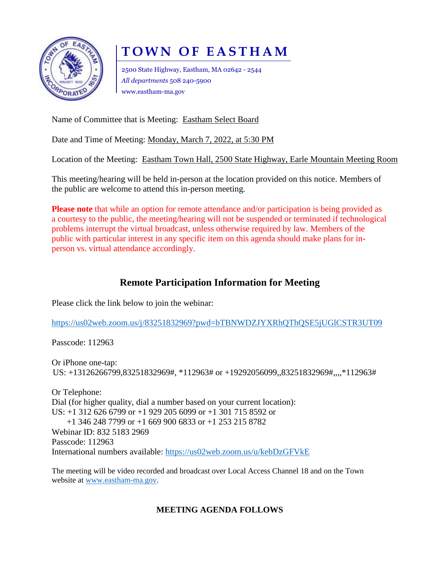

# **T O W N O F E A S T H A M**

2500 State Highway, Eastham, MA 02642 - 2544 *All departments* 508 240-5900 www.eastham-ma.gov

Name of Committee that is Meeting: Eastham Select Board

Date and Time of Meeting: Monday, March 7, 2022, at 5:30 PM

Location of the Meeting: Eastham Town Hall, 2500 State Highway, Earle Mountain Meeting Room

This meeting/hearing will be held in-person at the location provided on this notice. Members of the public are welcome to attend this in-person meeting.

**Please note** that while an option for remote attendance and/or participation is being provided as a courtesy to the public, the meeting/hearing will not be suspended or terminated if technological problems interrupt the virtual broadcast, unless otherwise required by law. Members of the public with particular interest in any specific item on this agenda should make plans for inperson vs. virtual attendance accordingly.

# **Remote Participation Information for Meeting**

Please click the link below to join the webinar:

<https://us02web.zoom.us/j/83251832969?pwd=bTBNWDZJYXRhQThQSE5jUGlCSTR3UT09>

Passcode: 112963

Or iPhone one-tap: US: +13126266799,83251832969#, \*112963# or +19292056099,,83251832969#,,,,\*112963#

Or Telephone: Dial (for higher quality, dial a number based on your current location): US: +1 312 626 6799 or +1 929 205 6099 or +1 301 715 8592 or +1 346 248 7799 or +1 669 900 6833 or +1 253 215 8782 Webinar ID: 832 5183 2969 Passcode: 112963 International numbers available:<https://us02web.zoom.us/u/kebDzGFVkE>

The meeting will be video recorded and broadcast over Local Access Channel 18 and on the Town website at [www.eastham-ma.gov.](http://www.eastham-ma.gov/)

# **MEETING AGENDA FOLLOWS**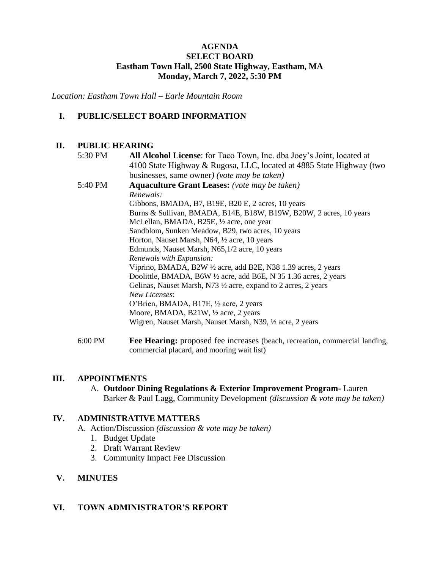# **AGENDA SELECT BOARD Eastham Town Hall, 2500 State Highway, Eastham, MA Monday, March 7, 2022, 5:30 PM**

*Location: Eastham Town Hall – Earle Mountain Room*

# **I. PUBLIC/SELECT BOARD INFORMATION**

## **II. PUBLIC HEARING**

| 5:30 PM | All Alcohol License: for Taco Town, Inc. dba Joey's Joint, located at |
|---------|-----------------------------------------------------------------------|
|         | 4100 State Highway & Rugosa, LLC, located at 4885 State Highway (two  |
|         | businesses, same owner) (vote may be taken)                           |
| 5:40 PM | <b>Aquaculture Grant Leases:</b> (vote may be taken)                  |
|         | Renewals:                                                             |
|         | Gibbons, BMADA, B7, B19E, B20 E, 2 acres, 10 years                    |
|         | Burns & Sullivan, BMADA, B14E, B18W, B19W, B20W, 2 acres, 10 years    |
|         | McLellan, BMADA, B25E, 1/2 acre, one year                             |
|         | Sandblom, Sunken Meadow, B29, two acres, 10 years                     |
|         | Horton, Nauset Marsh, N64, 1/2 acre, 10 years                         |
|         | Edmunds, Nauset Marsh, N65, 1/2 acre, 10 years                        |
|         | Renewals with Expansion:                                              |
|         | Viprino, BMADA, B2W ½ acre, add B2E, N38 1.39 acres, 2 years          |
|         | Doolittle, BMADA, B6W 1/2 acre, add B6E, N 35 1.36 acres, 2 years     |
|         | Gelinas, Nauset Marsh, N73 1/2 acre, expand to 2 acres, 2 years       |
|         | New Licenses:                                                         |
|         | O'Brien, BMADA, B17E, 1/2 acre, 2 years                               |
|         | Moore, BMADA, B21W, 1/2 acre, 2 years                                 |
|         | Wigren, Nauset Marsh, Nauset Marsh, N39, 1/2 acre, 2 years            |
|         |                                                                       |

#### **III. APPOINTMENTS**

# A. **Outdoor Dining Regulations & Exterior Improvement Program-** Lauren Barker & Paul Lagg, Community Development *(discussion & vote may be taken)*

## **IV. ADMINISTRATIVE MATTERS**

- A. Action/Discussion *(discussion & vote may be taken)*
	- 1. Budget Update
	- 2. Draft Warrant Review
	- 3. Community Impact Fee Discussion
- **V. MINUTES**

# **VI. TOWN ADMINISTRATOR'S REPORT**

<sup>6:00</sup> PM **Fee Hearing:** proposed fee increases (beach, recreation, commercial landing, commercial placard, and mooring wait list)